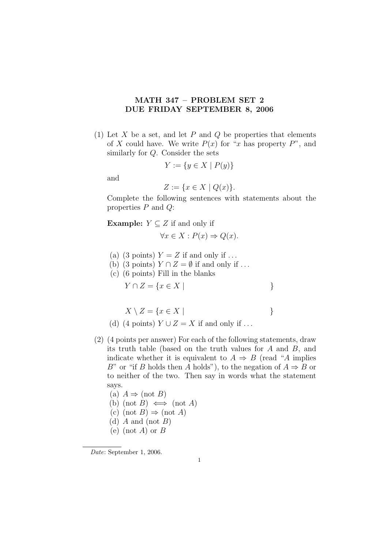## MATH 347 – PROBLEM SET 2 DUE FRIDAY SEPTEMBER 8, 2006

(1) Let X be a set, and let P and Q be properties that elements of X could have. We write  $P(x)$  for "x has property P", and similarly for Q. Consider the sets

$$
Y := \{ y \in X \mid P(y) \}
$$

and

$$
Z := \{ x \in X \mid Q(x) \}.
$$

Complete the following sentences with statements about the properties  $P$  and  $Q$ :

Example:  $Y \subseteq Z$  if and only if

$$
\forall x \in X : P(x) \Rightarrow Q(x).
$$

- (a) (3 points)  $Y = Z$  if and only if ...
- (b) (3 points)  $Y \cap Z = \emptyset$  if and only if ...
- (c) (6 points) Fill in the blanks

$$
Y \cap Z = \{ x \in X \mid \tag{}
$$

$$
X \setminus Z = \{ x \in X \mid \tag{}
$$

- (d) (4 points)  $Y \cup Z = X$  if and only if ...
- (2) (4 points per answer) For each of the following statements, draw its truth table (based on the truth values for A and B, and indicate whether it is equivalent to  $A \Rightarrow B$  (read "A implies B" or "if B holds then A holds"), to the negation of  $A \Rightarrow B$  or to neither of the two. Then say in words what the statement says.
	- (a)  $A \Rightarrow (not B)$ (b) (not B)  $\iff$  (not A) (c) (not  $B$ )  $\Rightarrow$  (not A) (d)  $A$  and (not  $B$ ) (e) (not A) or  $B$

Date: September 1, 2006.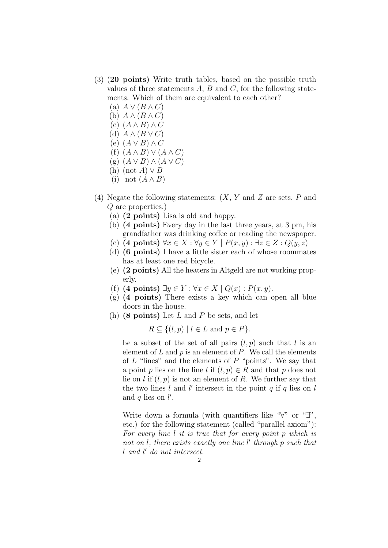- (3) (20 points) Write truth tables, based on the possible truth values of three statements  $A, B$  and  $C$ , for the following statements. Which of them are equivalent to each other?
	- (a)  $A \vee (B \wedge C)$
	- (b)  $A \wedge (B \wedge C)$
	- (c)  $(A \wedge B) \wedge C$
	- (d)  $A \wedge (B \vee C)$ (e)  $(A \vee B) \wedge C$
	- (f)  $(A \wedge B) \vee (A \wedge C)$
	- $(g)$   $(A \vee B) \wedge (A \vee C)$
	- (h) (not  $A$ )  $\vee$   $B$
	- (i) not  $(A \wedge B)$
- (4) Negate the following statements:  $(X, Y, Y)$  and  $Z$  are sets,  $P$  and Q are properties.)
	- (a) (2 points) Lisa is old and happy.
	- (b) (4 points) Every day in the last three years, at 3 pm, his grandfather was drinking coffee or reading the newspaper.
	- (c) (4 points)  $\forall x \in X : \forall y \in Y \mid P(x, y) : \exists z \in Z : Q(y, z)$
	- (d) (6 points) I have a little sister each of whose roommates has at least one red bicycle.
	- (e) (2 points) All the heaters in Altgeld are not working properly.
	- (f) (4 points)  $\exists y \in Y : \forall x \in X \mid Q(x) : P(x, y)$ .
	- (g) (4 points) There exists a key which can open all blue doors in the house.
	- (h)  $(8 \text{ points})$  Let L and P be sets, and let

 $R \subseteq \{(l, p) \mid l \in L \text{ and } p \in P\}.$ 

be a subset of the set of all pairs  $(l, p)$  such that l is an element of  $L$  and  $p$  is an element of  $P$ . We call the elements of  $L$  "lines" and the elements of  $P$  "points". We say that a point p lies on the line l if  $(l, p) \in R$  and that p does not lie on l if  $(l, p)$  is not an element of R. We further say that the two lines  $l$  and  $l'$  intersect in the point  $q$  if  $q$  lies on  $l$ and  $q$  lies on  $l'$ .

Write down a formula (with quantifiers like "∀" or "∃", etc.) for the following statement (called "parallel axiom"): For every line l it is true that for every point p which is not on  $l$ , there exists exactly one line  $l'$  through p such that l and l' do not intersect.